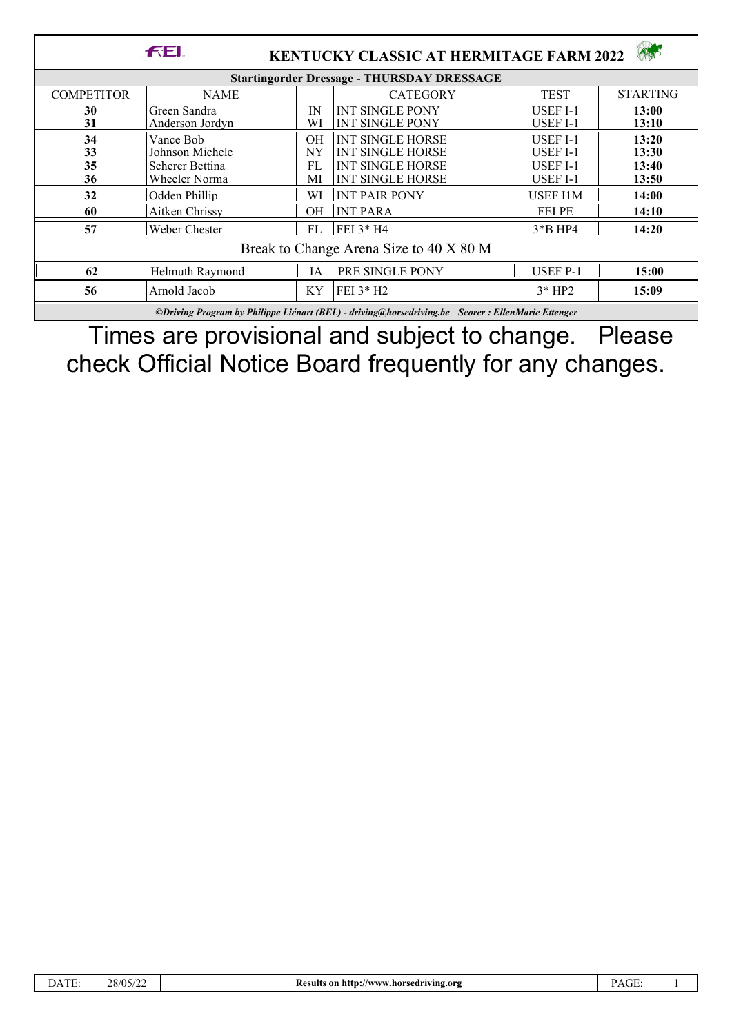|                                                   | <b>FEL</b>                                                       |                       | <b>KENTUCKY CLASSIC AT HERMITAGE FARM 2022</b>                                                           |                                                                   |                                  |  |  |  |
|---------------------------------------------------|------------------------------------------------------------------|-----------------------|----------------------------------------------------------------------------------------------------------|-------------------------------------------------------------------|----------------------------------|--|--|--|
| <b>Startingorder Dressage - THURSDAY DRESSAGE</b> |                                                                  |                       |                                                                                                          |                                                                   |                                  |  |  |  |
| <b>COMPETITOR</b>                                 | NAME                                                             |                       | <b>CATEGORY</b>                                                                                          | <b>TEST</b>                                                       | <b>STARTING</b>                  |  |  |  |
| 30<br>31                                          | Green Sandra<br>Anderson Jordyn                                  | IN<br>WI              | <b>INT SINGLE PONY</b><br><b>INT SINGLE PONY</b>                                                         | <b>USEF I-1</b><br>USEF I-1                                       | 13:00<br>13:10                   |  |  |  |
| 34<br>33<br>35<br>36                              | Vance Bob<br>Johnson Michele<br>Scherer Bettina<br>Wheeler Norma | OН<br>NY.<br>FL<br>МI | <b>INT SINGLE HORSE</b><br><b>INT SINGLE HORSE</b><br><b>INT SINGLE HORSE</b><br><b>INT SINGLE HORSE</b> | <b>USEF I-1</b><br><b>USEF I-1</b><br><b>USEF I-1</b><br>USEF I-1 | 13:20<br>13:30<br>13:40<br>13:50 |  |  |  |
| 32                                                | Odden Phillip                                                    | WI                    | <b>INT PAIR PONY</b>                                                                                     | <b>USEF I1M</b>                                                   | 14:00                            |  |  |  |
| 60                                                | Aitken Chrissy                                                   | OН                    | <b>INT PARA</b>                                                                                          | <b>FEI PE</b>                                                     | 14:10                            |  |  |  |
| 57                                                | Weber Chester                                                    | FL                    | FEI 3* H4                                                                                                | $3*B$ HP4                                                         | 14:20                            |  |  |  |
| Break to Change Arena Size to 40 X 80 M           |                                                                  |                       |                                                                                                          |                                                                   |                                  |  |  |  |
| 62                                                | Helmuth Raymond                                                  | IA                    | <b>PRE SINGLE PONY</b>                                                                                   | <b>USEF P-1</b>                                                   | 15:00                            |  |  |  |
| 56                                                | Arnold Jacob                                                     | ΚY                    | $FEI$ 3* $H2$                                                                                            | $3*HP2$                                                           | 15:09                            |  |  |  |

*©Driving Program by Philippe Liénart (BEL) - driving@horsedriving.be Scorer : EllenMarie Ettenger*

Times are provisional and subject to change. Please check Official Notice Board frequently for any changes.